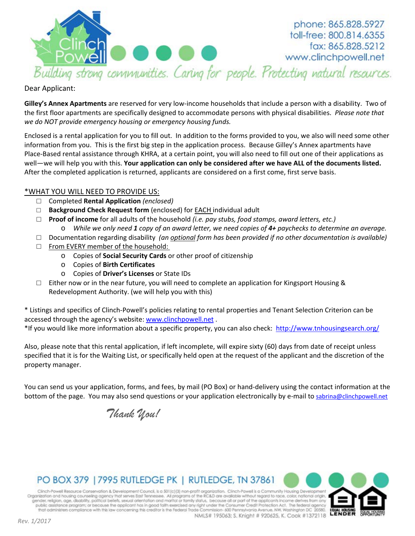

phone: 865.828.5927 toll-free: 800.814.6355 fax: 865,828,5212 www.clinchpowell.net

#### Dear Applicant:

**Gilley's Annex Apartments** are reserved for very low-income households that include a person with a disability. Two of the first floor apartments are specifically designed to accommodate persons with physical disabilities. *Please note that we do NOT provide emergency housing or emergency housing funds.*

Enclosed is a rental application for you to fill out. In addition to the forms provided to you, we also will need some other information from you. This is the first big step in the application process. Because Gilley's Annex apartments have Place-Based rental assistance through KHRA, at a certain point, you will also need to fill out one of their applications as well—we will help you with this. **Your application can only be considered after we have ALL of the documents listed.** After the completed application is returned, applicants are considered on a first come, first serve basis.

#### \*WHAT YOU WILL NEED TO PROVIDE US:

- □ Completed **Rental Application** *(enclosed)*
- □ **Background Check Request form** (enclosed) for EACH individual adult
- □ **Proof of income** for all adults of the household *(i.e. pay stubs, food stamps, award letters, etc.)* 
	- While we only need 1 copy of an award letter, we need copies of 4+ paychecks to determine an average.
- □ Documentation regarding disability *(an optional form has been provided if no other documentation is available)*
- □ From EVERY member of the household:
	- o Copies of **Social Security Cards** or other proof of citizenship
	- o Copies of **Birth Certificates**
	- o Copies of **Driver's Licenses** or State IDs
- $\square$  Either now or in the near future, you will need to complete an application for Kingsport Housing & Redevelopment Authority. (we will help you with this)

\* Listings and specifics of Clinch-Powell's policies relating to rental properties and Tenant Selection Criterion can be accessed through the agency's website[: www.clinchpowell.net](http://www.clinchpowell.net/) .

\*If you would like more information about a specific property, you can also check: <http://www.tnhousingsearch.org/>

Also, please note that this rental application, if left incomplete, will expire sixty (60) days from date of receipt unless specified that it is for the Waiting List, or specifically held open at the request of the applicant and the discretion of the property manager.

You can send us your application, forms, and fees, by mail (PO Box) or hand-delivery using the contact information at the bottom of the page. You may also send questions or your application electronically by e-mail to [sabrina@clinchpowell.net](mailto:sabrina@clinchpowell.net) 

*Thank You!*

# PO BOX 379 | 7995 RUTLEDGE PK | RUTLEDGE, TN 37861

Clinch-Powell Resource Conservation & Development Council, is a 501(c)(3) non-profit organization. Clinch-Powell is a Community Housing Developmen Organization and housing courseling agency that serves Bast Tennessee. All programs of the RC&D are available without regard to race, color, national origin,<br>gender, religion, age, disability, political belefs, sexual orie public assistance program; or because the applicant has in good faith exercised any right under the Consumer Credit Protection Act. The federal agency<br>that administers compliance with this law concerning this creditor is t NMLS# 195063; S. Knight # 920625, K. Cook #1372118

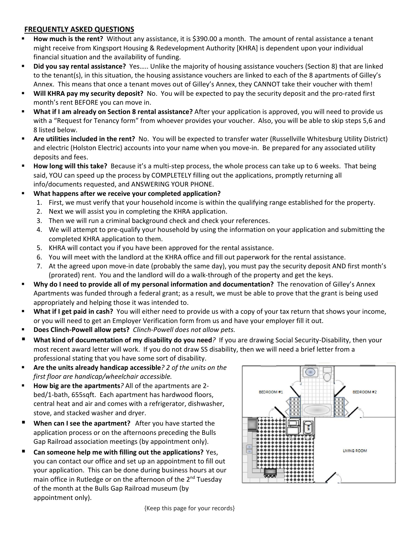### **FREQUENTLY ASKED QUESTIONS**

- **How much is the rent?** Without any assistance, it is \$390.00 a month. The amount of rental assistance a tenant might receive from Kingsport Housing & Redevelopment Authority [KHRA] is dependent upon your individual financial situation and the availability of funding.
- **Did you say rental assistance?**Yes….. Unlike the majority of housing assistance vouchers (Section 8) that are linked to the tenant(s), in this situation, the housing assistance vouchers are linked to each of the 8 apartments of Gilley's Annex. This means that once a tenant moves out of Gilley's Annex, they CANNOT take their voucher with them!
- **Will KHRA pay my security deposit?** No. You will be expected to pay the security deposit and the pro-rated first month's rent BEFORE you can move in.
- **What if I am already on Section 8 rental assistance?** After your application is approved, you will need to provide us with a "Request for Tenancy form" from whoever provides your voucher. Also, you will be able to skip steps 5,6 and 8 listed below.
- **Are utilities included in the rent?** No. You will be expected to transfer water (Russellville Whitesburg Utility District) and electric (Holston Electric) accounts into your name when you move-in. Be prepared for any associated utility deposits and fees.
- **How long will this take?** Because it's a multi-step process, the whole process can take up to 6 weeks. That being said, YOU can speed up the process by COMPLETELY filling out the applications, promptly returning all info/documents requested, and ANSWERING YOUR PHONE.
- **What happens after we receive your completed application?**
	- 1. First, we must verify that your household income is within the qualifying range established for the property.
	- 2. Next we will assist you in completing the KHRA application.
	- 3. Then we will run a criminal background check and check your references.
	- 4. We will attempt to pre-qualify your household by using the information on your application and submitting the completed KHRA application to them.
	- 5. KHRA will contact you if you have been approved for the rental assistance.
	- 6. You will meet with the landlord at the KHRA office and fill out paperwork for the rental assistance.
	- 7. At the agreed upon move-in date (probably the same day), you must pay the security deposit AND first month's (prorated) rent. You and the landlord will do a walk-through of the property and get the keys.
- **Why do I need to provide all of my personal information and documentation?** The renovation of Gilley's Annex Apartments was funded through a federal grant; as a result, we must be able to prove that the grant is being used appropriately and helping those it was intended to.
- **What if I get paid in cash?** You will either need to provide us with a copy of your tax return that shows your income, or you will need to get an Employer Verification form from us and have your employer fill it out.
- **Does Clinch-Powell allow pets?** *Clinch-Powell does not allow pets.*
- **What kind of documentation of my disability do you need***?* If you are drawing Social Security-Disability, then your most recent award letter will work. If you do not draw SS disability, then we will need a brief letter from a professional stating that you have some sort of disability.
- **Are the units already handicap accessible***? 2 of the units on the first floor are handicap/wheelchair accessible.*
- **How big are the apartments***?* All of the apartments are 2 bed/1-bath, 655sqft. Each apartment has hardwood floors, central heat and air and comes with a refrigerator, dishwasher, stove, and stacked washer and dryer.
- **When can I see the apartment?** After you have started the application process or on the afternoons preceding the Bulls Gap Railroad association meetings (by appointment only).
- **Can someone help me with filling out the applications?** Yes, you can contact our office and set up an appointment to fill out your application. This can be done during business hours at our main office in Rutledge or on the afternoon of the 2<sup>nd</sup> Tuesday of the month at the Bulls Gap Railroad museum (by appointment only).

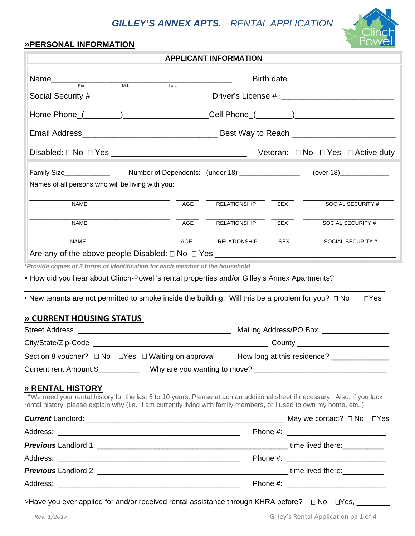### *GILLEY'S ANNEX APTS. --RENTAL APPLICATION*



### **»PERSONAL INFORMATION**

| <b>APPLICANT INFORMATION</b>                                                                                                                                                                                                                                                                                                                                                                                                                                                                                                                                                                                                                                                                                                                                                                                                                                                                                 |                     |                                                                                  |
|--------------------------------------------------------------------------------------------------------------------------------------------------------------------------------------------------------------------------------------------------------------------------------------------------------------------------------------------------------------------------------------------------------------------------------------------------------------------------------------------------------------------------------------------------------------------------------------------------------------------------------------------------------------------------------------------------------------------------------------------------------------------------------------------------------------------------------------------------------------------------------------------------------------|---------------------|----------------------------------------------------------------------------------|
| Last                                                                                                                                                                                                                                                                                                                                                                                                                                                                                                                                                                                                                                                                                                                                                                                                                                                                                                         |                     |                                                                                  |
|                                                                                                                                                                                                                                                                                                                                                                                                                                                                                                                                                                                                                                                                                                                                                                                                                                                                                                              |                     |                                                                                  |
| Home Phone_(________)_____________________Cell Phone_(_______)___________________                                                                                                                                                                                                                                                                                                                                                                                                                                                                                                                                                                                                                                                                                                                                                                                                                            |                     |                                                                                  |
|                                                                                                                                                                                                                                                                                                                                                                                                                                                                                                                                                                                                                                                                                                                                                                                                                                                                                                              |                     |                                                                                  |
|                                                                                                                                                                                                                                                                                                                                                                                                                                                                                                                                                                                                                                                                                                                                                                                                                                                                                                              |                     | Veteran: $\Box$ No $\Box$ Yes $\Box$ Active duty                                 |
| Family Size______________<br>Names of all persons who will be living with you:                                                                                                                                                                                                                                                                                                                                                                                                                                                                                                                                                                                                                                                                                                                                                                                                                               |                     | Number of Dependents: (under 18) ______________________(over 18)________________ |
| <b>NAME</b><br>AGE                                                                                                                                                                                                                                                                                                                                                                                                                                                                                                                                                                                                                                                                                                                                                                                                                                                                                           | <b>RELATIONSHIP</b> | <b>SEX</b><br>SOCIAL SECURITY #                                                  |
| <b>AGE</b><br><b>NAME</b>                                                                                                                                                                                                                                                                                                                                                                                                                                                                                                                                                                                                                                                                                                                                                                                                                                                                                    | <b>RELATIONSHIP</b> | <b>SEX</b><br>SOCIAL SECURITY #                                                  |
| AGE<br><b>NAME</b>                                                                                                                                                                                                                                                                                                                                                                                                                                                                                                                                                                                                                                                                                                                                                                                                                                                                                           | <b>RELATIONSHIP</b> | SOCIAL SECURITY #<br><b>SEX</b>                                                  |
|                                                                                                                                                                                                                                                                                                                                                                                                                                                                                                                                                                                                                                                                                                                                                                                                                                                                                                              |                     |                                                                                  |
|                                                                                                                                                                                                                                                                                                                                                                                                                                                                                                                                                                                                                                                                                                                                                                                                                                                                                                              |                     | $\Box$ Yes                                                                       |
|                                                                                                                                                                                                                                                                                                                                                                                                                                                                                                                                                                                                                                                                                                                                                                                                                                                                                                              |                     | Mailing Address/PO Box: ____________________                                     |
|                                                                                                                                                                                                                                                                                                                                                                                                                                                                                                                                                                                                                                                                                                                                                                                                                                                                                                              |                     |                                                                                  |
|                                                                                                                                                                                                                                                                                                                                                                                                                                                                                                                                                                                                                                                                                                                                                                                                                                                                                                              |                     |                                                                                  |
|                                                                                                                                                                                                                                                                                                                                                                                                                                                                                                                                                                                                                                                                                                                                                                                                                                                                                                              |                     |                                                                                  |
| *We need your rental history for the last 5 to 10 years. Please attach an additional sheet if necessary. Also, if you lack                                                                                                                                                                                                                                                                                                                                                                                                                                                                                                                                                                                                                                                                                                                                                                                   |                     |                                                                                  |
|                                                                                                                                                                                                                                                                                                                                                                                                                                                                                                                                                                                                                                                                                                                                                                                                                                                                                                              |                     |                                                                                  |
|                                                                                                                                                                                                                                                                                                                                                                                                                                                                                                                                                                                                                                                                                                                                                                                                                                                                                                              |                     |                                                                                  |
|                                                                                                                                                                                                                                                                                                                                                                                                                                                                                                                                                                                                                                                                                                                                                                                                                                                                                                              |                     |                                                                                  |
| *Provide copies of 2 forms of identification for each member of the household<br>• How did you hear about Clinch-Powell's rental properties and/or Gilley's Annex Apartments?<br>• New tenants are not permitted to smoke inside the building. Will this be a problem for you? $\Box$ No<br>» CURRENT HOUSING STATUS<br>City/State/Zip-Code entertainment and the country country country country country and the country of the country of the country of the country of the country of the country of the country of the country of the country of t<br>Section 8 voucher? $\Box$ No $\Box$ Yes $\Box$ Waiting on approval How long at this residence?<br>Current rent Amount:\$_______________Why are you wanting to move? ___________________________________<br>» RENTAL HISTORY<br>rental history, please explain why (i.e. "I am currently living with family members, or I used to own my home, etc) |                     |                                                                                  |
|                                                                                                                                                                                                                                                                                                                                                                                                                                                                                                                                                                                                                                                                                                                                                                                                                                                                                                              |                     |                                                                                  |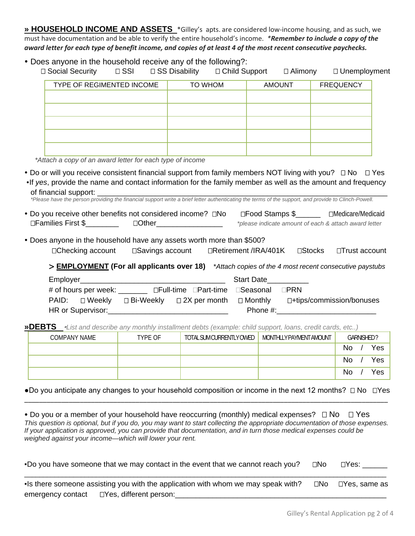**» HOUSEHOLD INCOME AND ASSETS** \*Gilley's apts. are considered low-income housing, and as such, we must have documentation and be able to verify the entire household's income. *\*Remember to include a copy of the award letter for each type of benefit income, and copies of at least 4 of the most recent consecutive paychecks.* 

Does anyone in the household receive any of the following?:

| □ Social Security                                                                                                                                                            | $\Box$ SSI | $\square$ SS Disability | □ Child Support | $\Box$ Alimony | $\Box$ Unemployment                                                                                                 |
|------------------------------------------------------------------------------------------------------------------------------------------------------------------------------|------------|-------------------------|-----------------|----------------|---------------------------------------------------------------------------------------------------------------------|
| TYPE OF REGIMENTED INCOME                                                                                                                                                    |            |                         | <b>TO WHOM</b>  | <b>AMOUNT</b>  | <b>FREQUENCY</b>                                                                                                    |
|                                                                                                                                                                              |            |                         |                 |                |                                                                                                                     |
|                                                                                                                                                                              |            |                         |                 |                |                                                                                                                     |
|                                                                                                                                                                              |            |                         |                 |                |                                                                                                                     |
|                                                                                                                                                                              |            |                         |                 |                |                                                                                                                     |
|                                                                                                                                                                              |            |                         |                 |                |                                                                                                                     |
| *Attach a copy of an award letter for each type of income                                                                                                                    |            |                         |                 |                |                                                                                                                     |
|                                                                                                                                                                              |            |                         |                 |                |                                                                                                                     |
|                                                                                                                                                                              |            |                         |                 |                | • Do or will you receive consistent financial support from family members NOT living with you? $\Box$ No $\Box$ Yes |
| of financial support:<br>*Please have the person providing the financial support write a brief letter authenticating the terms of the support, and provide to Clinch-Powell. |            |                         |                 |                | •If yes, provide the name and contact information for the family member as well as the amount and frequency         |

- Do you receive other benefits not considered income?  $\square$ No  $\square$  Food Stamps \$\_\_\_\_\_\_  $\square$  Medicare/Medicaid Families First \$\_\_\_\_\_\_\_\_ Other\_\_\_\_\_\_\_\_\_\_\_\_\_\_\_\_ *\*please indicate amount of each & attach award letter*
- Does anyone in the household have any assets worth more than \$500?

| □Retirement /IRA/401K<br>⊡Stocks<br>□Trust account<br>□Savings account<br>□Checking account |  |
|---------------------------------------------------------------------------------------------|--|
|---------------------------------------------------------------------------------------------|--|

> **EMPLOYMENT (For all applicants over 18)** \**Attach copies of the 4 most recent consecutive paystubs* 

| Employer_ |                      |                                                     | <b>Start Date</b> |                           |
|-----------|----------------------|-----------------------------------------------------|-------------------|---------------------------|
|           | # of hours per week: | □Full-time □Part-time □Seasonal                     |                   | $\Box$ PRN                |
|           | PAID: □ Weekly       | $\Box$ Bi-Weekly $\Box$ 2X per month $\Box$ Monthly |                   | □+tips/commission/bonuses |
|           | HR or Supervisor:    |                                                     | Phone #:          |                           |

**»DEBTS** *List and describe any monthly installment debts (example: child support, loans, credit cards, etc..)*

| <b>COMPANY NAME</b> | <b>TYPE OF</b> | TOTAL SUMCURRENTLY OWED | MONTHLLY PAYMENT AMOUNT | GARNISHED? |
|---------------------|----------------|-------------------------|-------------------------|------------|
|                     |                |                         |                         | Yes<br>No  |
|                     |                |                         |                         | Yes<br>No  |
|                     |                |                         |                         | Yes<br>No  |

•Do you anticipate any changes to your household composition or income in the next 12 months? □ No □ Yes \_\_\_\_\_\_\_\_\_\_\_\_\_\_\_\_\_\_\_\_\_\_\_\_\_\_\_\_\_\_\_\_\_\_\_\_\_\_\_\_\_\_\_\_\_\_\_\_\_\_\_\_\_\_\_\_\_\_\_\_\_\_\_\_\_\_\_\_\_\_\_\_\_\_\_\_\_\_\_\_\_\_\_\_\_\_\_\_\_\_\_\_\_\_\_\_\_\_

• Do you or a member of your household have reoccurring (monthly) medical expenses?  $\Box$  No  $\Box$  Yes *This question is optional, but if you do, you may want to start collecting the appropriate documentation of those expenses. If your application is approved, you can provide that documentation, and in turn those medical expenses could be weighed against your income—which will lower your rent.*

| -Do you have someone that we may contact in the event that we cannot reach you? $\Box$ No $\Box$ Yes: ______ |  |
|--------------------------------------------------------------------------------------------------------------|--|
|                                                                                                              |  |

| -Is there someone assisting you with the application with whom we may speak with? | □No □Yes, same as |
|-----------------------------------------------------------------------------------|-------------------|
|                                                                                   |                   |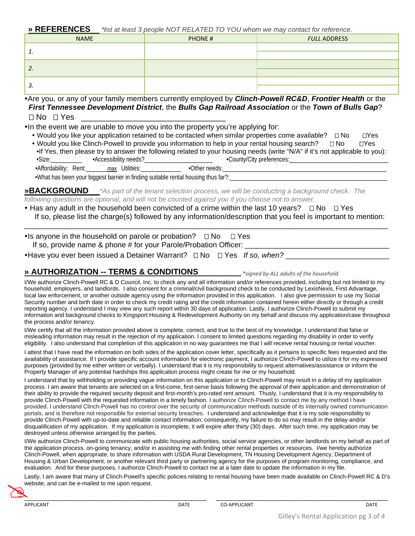**» REFERENCES** *\*list at least 3 people NOT RELATED TO YOU whom we may contact for reference.*

| <b>NAME</b> | PHONE# | <b>FULL ADDRESS</b> |
|-------------|--------|---------------------|
|             |        |                     |
| <b>.</b>    |        |                     |
|             |        |                     |
| Z.          |        |                     |
|             |        |                     |
|             |        |                     |

Are you, or any of your family members currently employed by *Clinch-Powell RC&D*, *Frontier Health* or the *First Tennessee Development District*, the *Bulls Gap Railroad Association* or the *Town of Bulls Gap*?  $\Box$  No  $\Box$  Yes

. In the event we are unable to move you into the property you're applying for:

- Would you like your application retained to be contacted when similar properties come available?  $\Box$  No  $\Box$  Yes
- Would you like Clinch-Powell to provide you information to help in your rental housing search?  $\square$  No  $\square$  Yes •If Yes, then please try to answer the following related to your housing needs (write "N/A" if it's not applicable to you): •Size: \_\_\_\_\_\_\_\_\_\_\_\_ •Accessibility needs?\_\_\_\_\_\_\_\_\_\_\_\_\_\_\_\_\_\_\_\_\_\_\_\_\_\_ •County/City preferences: \_\_\_\_\_\_\_\_\_\_\_\_\_\_\_\_\_\_\_\_\_\_\_ •Affordability: Rent: *\_\_\_\_\_\_ max* Utilities: • Other needs:

•What has been your biggest barrier in finding suitable rental housing thus far?:\_\_\_\_\_\_\_\_\_\_\_\_\_\_\_\_\_\_\_\_\_\_\_\_\_\_\_\_\_\_

**»BACKGROUND** *\*As part of the tenant selection process, we will be conducting a background check. The following questions are optional, and will not be counted against you if you choose not to answer.* 

• Has any adult in the household been convicted of a crime within the last 10 years?  $\Box$  No  $\Box$  Yes If so, please list the charge(s) followed by any information/description that you feel is important to mention: \_\_\_\_\_\_\_\_\_\_\_\_\_\_\_\_\_\_\_\_\_\_\_\_\_\_\_\_\_\_\_\_\_\_\_\_\_\_\_\_\_\_\_\_\_\_\_\_\_\_\_\_\_\_\_\_\_\_\_\_\_\_\_\_\_\_\_\_\_\_\_\_\_\_\_\_\_\_\_\_\_\_\_\_\_\_\_\_\_\_\_\_\_\_\_\_\_\_

| •Is anyone in the household on parole or probation? $\Box$ No $\Box$ Yes          |  |  |
|-----------------------------------------------------------------------------------|--|--|
| If so, provide name & phone # for your Parole/Probation Officer:                  |  |  |
| • Have you ever been issued a Detainer Warrant? $\Box$ No $\Box$ Yes If so, when? |  |  |

### **» AUTHORIZATION -- TERMS & CONDITIONS** *\*signed by ALL adults of the household.*

I/We authorize Clinch-Powell RC & D Council, Inc. to check any and all information and/or references provided, including but not limited to my household, employers, and landlords. I also consent for a criminal/civil background check to be conducted by LexisNexis, First Advantage, local law enforcement, or another outside agency using the information provided in this application. I also give permission to use my Social Security number and birth date in order to check my credit rating and the credit information contained herein either directly or through a credit reporting agency. I understand I may view any such report within 30 days of application. Lastly, I authorize Clinch-Powell to submit my information and background checks to Kingsport Housing & Redevelopment Authority on my behalf and discuss my application/case throughout the process and/or tenancy.

I/We certify that all the information provided above is complete, correct, and true to the best of my knowledge. I understand that false or misleading information may result in the rejection of my application. I consent to limited questions regarding my disability in order to verify eligibility. I also understand that completion of this application in no way guarantees me that I will receive rental housing or rental voucher.

I attest that I have read the information on both sides of the application cover letter, specifically as it pertains to specific fees requested and the availability of assistance. If I provide specific account information for electronic payment, I authorize Clinch-Powell to utilize it for my expressed purposes (provided by me either written or verbally). I understand that it is my responsibility to request alternatives/assistance or inform the Property Manager of any potential hardships this application process might create for me or my household.

I understand that by withholding or providing vague information on this application or to Clinch-Powell may result in a delay of my application process. I am aware that tenants are selected on a first-come, first-serve basis following the approval of their application and demonstration of their ability to provide the required security deposit and first-month's pro-rated rent amount. Thusly, I understand that it is my responsibility to provide Clinch-Powell with the requested information in a timely fashion. I authorize Clinch-Powell to contact me by any method I have provided. I understand Clinch-Powell has no control over the security of communication methods outside of its internally owned communication portals, and is therefore not responsible for external security breaches. I understand and acknowledge that it is my sole responsibility to provide Clinch-Powell with up-to-date and reliable contact information; consequently, my failure to do so may result in the delay and/or disqualification of my application. If my application is incomplete, it will expire after thirty (30) days. After such time, my application may be destroyed unless otherwise arranged by the parties.

I/We authorize Clinch-Powell to communicate with public housing authorities, social service agencies, or other landlords on my behalf as part of the application process, on-going tenancy, and/or in assisting me with finding other rental properties or resources. I/we hereby authorize Clinch-Powell, when appropriate, to share information with USDA Rural Development, TN Housing Development Agency, Department of Housing & Urban Development, or another relevant third party or partnering agency for the purposes of program monitoring, compliance, and evaluation. And for these purposes, I authorize Clinch-Powell to contact me at a later date to update the information in my file.

Lastly, I am aware that many of Clinch-Powell's specific policies relating to rental housing have been made available on Clinch-Powell RC & D's website, and can be e-mailed to me upon request.  $\sum_{n=1}^{\infty}$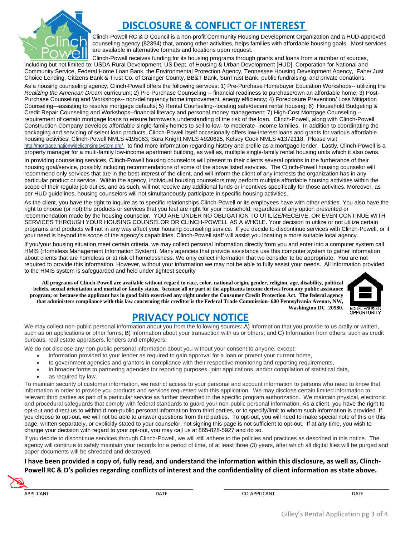

# **DISCLOSURE & CONFLICT OF INTEREST**

Clinch-Powell RC & D Council is a non-profit Community Housing Development Organization and a HUD-approved counseling agency (82394) that, among other activities, helps families with affordable housing goals. Most services are available in alternative formats and locations upon request.

Clinch-Powell receives funding for its housing programs through grants and loans from a number of sources, including but not limited to: USDA Rural Development, US Dept. of Housing & Urban Development [HUD], Corporation for National and Community Service, Federal Home Loan Bank, the Environmental Protection Agency, Tennessee Housing Development Agency, Fahe/ Just Choice Lending, Citizens Bank & Trust Co. of Grainger County, BB&T Bank, SunTrust Bank, public fundraising, and private donations.

As a housing counseling agency, Clinch-Powell offers the following services: 1) Pre-Purchase Homebuyer Education Workshops-- utilizing the *Realizing the American Dream* curriculum; 2) Pre-Purchase Counseling -- financial readiness to purchase/own an affordable home; 3) Post-Purchase Counseling and Workshops-- non-delinquency home improvement, energy efficiency; 4) Foreclosure Prevention/ Loss Mitigation Counseling—assisting to resolve mortgage defaults; 5) Rental Counseling--locating safe/decent rental housing; 6) Household Budgeting & Credit Repair Counseling and Workshops--financial literacy and personal money management; 7) High-Cost Mortgage Counseling - requirement of certain mortgage loans to ensure borrower's understanding of the risk of the loan. Clinch-Powell, along with Clinch-Powell Construction Company develops affordable single-family homes to sell to low- to moderate- income families. In addition to coordinating the packaging and servicing of select loan products, Clinch-Powell itself occasionally offers low-interest loans and grants for various affordable housing activities. Clinch-Powell NMLS #195063; Sara Knight NMLS #920625, Kelsey Cook NMLS #1372118. Please visit http://mortgage.nationwidelicensingsystem.org/ to find more information regarding history and profile as a mortgage lender. Lastly, Clinch-Powell is a property manager for a multi-family low-income apartment building, as well as, multiple single-family rental housing units which it also owns.

In providing counseling services, Clinch-Powell housing counselors will present to their clients several options in the furtherance of their housing goal/service, possibly including recommendations of some of the above listed services. The Clinch-Powell housing counselor will recommend only services that are in the best interest of the client, and will inform the client of any interests the organization has in any particular product or service. Within the agency, individual housing counselors may perform multiple affordable housing activities within the scope of their regular job duties, and as such, will not receive any additional funds or incentives specifically for those activities. Moreover, as per HUD guidelines, housing counselors will not simultaneously participate in specific housing activities.

As the client, you have the right to inquire as to specific relationships Clinch-Powell or its employees have with other entities. You also have the right to choose (or not) the products or services that you feel are right for your household, regardless of any option presented or recommendation made by the housing counselor. YOU ARE UNDER NO OBLIGATION TO UTILIZE/RECEIVE, OR EVEN CONTINUE WITH SERVICES THROUGH YOUR HOUSING COUNSELOR OR CLINCH-POWELL AS A WHOLE. Your decision to utilize or not utilize certain programs and products will not in any way affect your housing counseling service. If you decide to discontinue services with Clinch-Powell, or if your need is beyond the scope of the agency's capabilities, Clinch-Powell staff will assist you locating a more suitable local agency.

If you/your housing situation meet certain criteria, we may collect personal information directly from you and enter into a computer system call HMIS (Homeless Management Information System). Many agencies that provide assistance use this computer system to gather information about clients that are homeless or at risk of homelessness. We only collect information that we consider to be appropriate. You are not required to provide this information. However, without your information we may not be able to fully assist your needs. All information provided to the HMIS system is safeguarded and held under tightest security

**All programs of Clinch-Powell are available without regard to race, color, national origin, gender, religion, age, disability, political beliefs, sexual orientation and marital or family status, because all or part of the applicants income derives from any public assistance program; or because the applicant has in good faith exercised any right under the Consumer Credit Protection Act. The federal agency that administers compliance with this law concerning this creditor is the Federal Trade Commission- 600 Pennsylvania Avenue, NW, Washington DC 20580.**



# **PRIVACY POLICY NOTICE**

We may collect non-public personal information about you from the following sources: A) Information that you provide to us orally or written, such as on applications or other forms; B) Information about your transaction with us or others; and C) Information from others, such as credit bureaus, real estate appraisers, lenders and employers.

We do not disclose any non-public personal information about you without your consent to anyone, except:

- information provided to your lender as required to gain approval for a loan or protect your current home,
- to government agencies and grantors in compliance with their respective monitoring and reporting requirements,
- in broader forms to partnering agencies for reporting purposes, joint applications, and/or compilation of statistical data,
- as required by law.

To maintain security of customer information, we restrict access to your personal and account information to persons who need to know that information in order to provide you products and services requested with this application. We may disclose certain limited information to relevant third parties as part of a particular service as further described in the specific program authorization. We maintain physical, electronic and procedural safeguards that comply with federal standards to guard your non-public personal information. As a client, you have the right to opt-out and direct us to withhold non-public personal information from third parties, or to specify/limit to whom such information is provided. If you choose to opt-out, we will not be able to answer questions from third parties. To opt-out, you will need to make special note of this on this page, written separately, or explicitly stated to your counselor; not signing this page is not sufficient to opt-out. If at any time, you wish to change your decision with regard to your opt-out, you may call us at 865-828-5927 and do so.

If you decide to discontinue services through Clinch-Powell, we will still adhere to the policies and practices as described in this notice. The agency will continue to safely maintain your records for a period of time, of at least three (3) years, after which all digital files will be purged and paper documents will be shredded and destroyed.

**I have been provided a copy of, fully read, and understand the information within this disclosure, as well as, Clinch-Powell RC & D's policies regarding conflicts of interest and the confidentiality of client information as state above.** 

 $\blacktriangleright$  , and the contribution of the contribution of the contribution of the contribution of the contribution of the contribution of the contribution of the contribution of the contribution of the contribution of the con  $\sum_{n=1}^{R}$